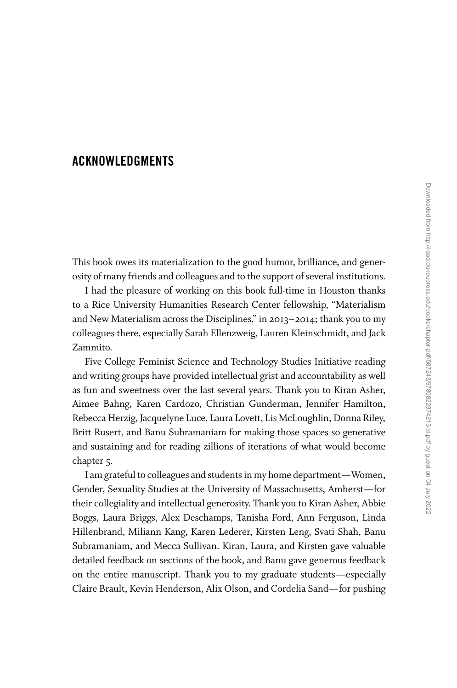## Downloaded from http://read.dukeupress.edu/books/chapter-pdf/587243/9780822374213-xi.pdf by guest on 04 July 2022 Downloaded from http://read.dukeupress.edu/books/chapter-pdf/587243/9780822374213-xi.pdf by guest on 04 July 2022

## **[ACKNOWLEDGMENTS](#page--1-0)**

This book owes its materialization to the good humor, brilliance, and generosity of many friends and colleagues and to the support of several institutions.

I had the pleasure of working on this book full-time in Houston thanks to a Rice University Humanities Research Center fellowship, "Materialism and New Materialism across the Disciplines," in 2013–2014; thank you to my colleagues there, especially Sarah Ellenzweig, Lauren Kleinschmidt, and Jack Zammito.

Five College Feminist Science and Technology Studies Initiative reading and writing groups have provided intellectual grist and accountability as well as fun and sweetness over the last several years. Thank you to Kiran Asher, Aimee Bahng, Karen Cardozo, Christian Gunderman, Jennifer Hamilton, Rebecca Herzig, Jacquelyne Luce, Laura Lovett, Lis McLoughlin, Donna Riley, Britt Rusert, and Banu Subramaniam for making those spaces so generative and sustaining and for reading zillions of iterations of what would become [chapter 5](#page--1-0).

I am grateful to colleagues and students in my home department—Women, Gender, Sexuality Studies at the University of Massachusetts, Amherst—for their collegiality and intellectual generosity. Thank you to Kiran Asher, Abbie Boggs, Laura Briggs, Alex Deschamps, Tanisha Ford, Ann Ferguson, Linda Hillenbrand, Miliann Kang, Karen Lederer, Kirsten Leng, Svati Shah, Banu Subramaniam, and Mecca Sullivan. Kiran, Laura, and Kirsten gave valuable detailed feedback on sections of the book, and Banu gave generous feedback on the entire manuscript. Thank you to my graduate students—especially Claire Brault, Kevin Henderson, Alix Olson, and Cordelia Sand—for pushing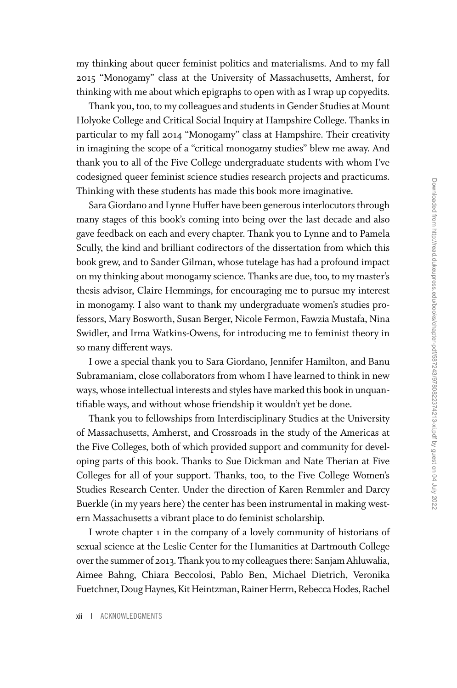my thinking about queer feminist politics and materialisms. And to my fall 2015 "Monogamy" class at the University of Massachusetts, Amherst, for thinking with me about which epigraphs to open with as I wrap up copyedits.

Thank you, too, to my colleagues and students in Gender Studies at Mount Holyoke College and Critical Social Inquiry at Hampshire College. Thanks in particular to my fall 2014 "Monogamy" class at Hampshire. Their creativity in imagining the scope of a "critical monogamy studies" blew me away. And thank you to all of the Five College undergraduate students with whom I've codesigned queer feminist science studies research projects and practicums. Thinking with these students has made this book more imaginative.

Sara Giordano and Lynne Huffer have been generous interlocutors through many stages of this book's coming into being over the last decade and also gave feedback on each and every chapter. Thank you to Lynne and to Pamela Scully, the kind and brilliant codirectors of the dissertation from which this book grew, and to Sander Gilman, whose tutelage has had a profound impact on my thinking about monogamy science. Thanks are due, too, to my master's thesis advisor, Claire Hemmings, for encouraging me to pursue my interest in monogamy. I also want to thank my undergraduate women's studies professors, Mary Bosworth, Susan Berger, Nicole Fermon, Fawzia Mustafa, Nina Swidler, and Irma Watkins-Owens, for introducing me to feminist theory in so many different ways.

I owe a special thank you to Sara Giordano, Jennifer Hamilton, and Banu Subramaniam, close collaborators from whom I have learned to think in new ways, whose intellectual interests and styles have marked this book in unquantifiable ways, and without whose friendship it wouldn't yet be done.

Thank you to fellowships from Interdisciplinary Studies at the University of Massachusetts, Amherst, and Crossroads in the study of the Americas at the Five Colleges, both of which provided support and community for developing parts of this book. Thanks to Sue Dickman and Nate Therian at Five Colleges for all of your support. Thanks, too, to the Five College Women's Studies Research Center. Under the direction of Karen Remmler and Darcy Buerkle (in my years here) the center has been instrumental in making western Massachusetts a vibrant place to do feminist scholarship.

I wrote [chapter 1](#page--1-0) in the company of a lovely community of historians of sexual science at the Leslie Center for the Humanities at Dartmouth College over the summer of 2013. Thank you to my colleagues there: Sanjam Ahluwalia, Aimee Bahng, Chiara Beccolosi, Pablo Ben, Michael Dietrich, Veronika Fuetchner, Doug Haynes, Kit Heintzman, Rainer Herrn, Rebecca Hodes, Rachel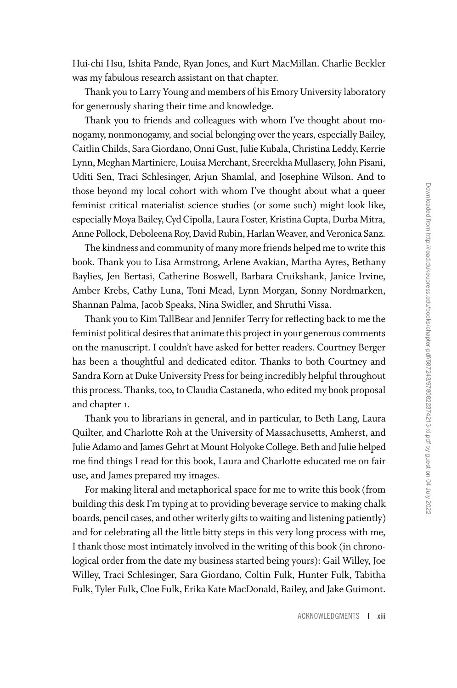Hui-chi Hsu, Ishita Pande, Ryan Jones, and Kurt MacMillan. Charlie Beckler was my fabulous research assistant on that chapter.

Thank you to Larry Young and members of his Emory University laboratory for generously sharing their time and knowledge.

Thank you to friends and colleagues with whom I've thought about monogamy, nonmonogamy, and social belonging over the years, especially Bailey, Caitlin Childs, Sara Giordano, Onni Gust, Julie Kubala, Christina Leddy, Kerrie Lynn, Meghan Martiniere, Louisa Merchant, Sreerekha Mullasery, John Pisani, Uditi Sen, Traci Schlesinger, Arjun Shamlal, and Josephine Wilson. And to those beyond my local cohort with whom I've thought about what a queer feminist critical materialist science studies (or some such) might look like, especially Moya Bailey, Cyd Cipolla, Laura Foster, Kristina Gupta, Durba Mitra, Anne Pollock, Deboleena Roy, David Rubin, Harlan Weaver, and Veronica Sanz.

The kindness and community of many more friends helped me to write this book. Thank you to Lisa Armstrong, Arlene Avakian, Martha Ayres, Bethany Baylies, Jen Bertasi, Catherine Boswell, Barbara Cruikshank, Janice Irvine, Amber Krebs, Cathy Luna, Toni Mead, Lynn Morgan, Sonny Nordmarken, Shannan Palma, Jacob Speaks, Nina Swidler, and Shruthi Vissa.

Thank you to Kim TallBear and Jennifer Terry for reflecting back to me the feminist political desires that animate this project in your generous comments on the manuscript. I couldn't have asked for better readers. Courtney Berger has been a thoughtful and dedicated editor. Thanks to both Courtney and Sandra Korn at Duke University Press for being incredibly helpful throughout this process. Thanks, too, to Claudia Castaneda, who edited my book proposal and [chapter 1](#page--1-0).

Thank you to librarians in general, and in particular, to Beth Lang, Laura Quilter, and Charlotte Roh at the University of Massachusetts, Amherst, and Julie Adamo and James Gehrt at Mount Holyoke College. Beth and Julie helped me find things I read for this book, Laura and Charlotte educated me on fair use, and James prepared my images.

For making literal and metaphorical space for me to write this book (from building this desk I'm typing at to providing beverage service to making chalk boards, pencil cases, and other writerly gifts to waiting and listening patiently) and for celebrating all the little bitty steps in this very long process with me, I thank those most intimately involved in the writing of this book (in chronological order from the date my business started being yours): Gail Willey, Joe Willey, Traci Schlesinger, Sara Giordano, Coltin Fulk, Hunter Fulk, Tabitha Fulk, Tyler Fulk, Cloe Fulk, Erika Kate MacDonald, Bailey, and Jake Guimont.